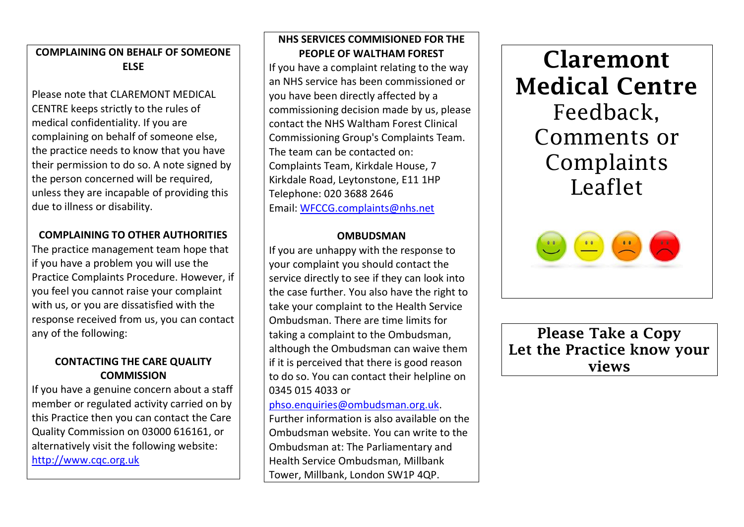# **COMPLAINING ON BEHALF OF SOMEONE ELSE**

Please note that CLAREMONT MEDICAL CENTRE keeps strictly to the rules of medical confidentiality. If you are complaining on behalf of someone else, the practice needs to know that you have their permission to do so. A note signed by the person concerned will be required, unless they are incapable of providing this due to illness or disability.

## **COMPLAINING TO OTHER AUTHORITIES**

The practice management team hope that if you have a problem you will use the Practice Complaints Procedure. However, if you feel you cannot raise your complaint with us, or you are dissatisfied with the response received from us, you can contact any of the following:

# **CONTACTING THE CARE QUALITY COMMISSION**

If you have a genuine concern about a staff member or regulated activity carried on by this Practice then you can contact the Care Quality Commission on 03000 616161, or alternatively visit the following website: [http://www.cqc.org.uk](http://www.cqc.org.uk/)

### **NHS SERVICES COMMISIONED FOR THE PEOPLE OF WALTHAM FOREST**

If you have a complaint relating to the way an NHS service has been commissioned or you have been directly affected by a commissioning decision made by us, please contact the NHS Waltham Forest Clinical Commissioning Group's Complaints Team. The team can be contacted on: Complaints Team, Kirkdale House, 7 Kirkdale Road, Leytonstone, E11 1HP Telephone: 020 3688 2646 Email: [WFCCG.complaints@nhs.net](mailto:WFCCG.complaints@nhs.net)

#### **OMBUDSMAN**

If you are unhappy with the response to your complaint you should contact the service directly to see if they can look into the case further. You also have the right to take your complaint to the Health Service Ombudsman. There are time limits for taking a complaint to the Ombudsman, although the Ombudsman can waive them if it is perceived that there is good reason to do so. You can contact their helpline on 0345 015 4033 or

# [phso.enquiries@ombudsman.org.uk.](mailto:phso.enquiries@ombudsman.org.uk)

Further information is also available on the Ombudsman website. You can write to the Ombudsman at: The Parliamentary and Health Service Ombudsman, Millbank Tower, Millbank, London SW1P 4QP.

**Claremont Medical Centre** Feedback, Comments or Complaints Leaflet



**Please Take a Copy Let the Practice know your views**